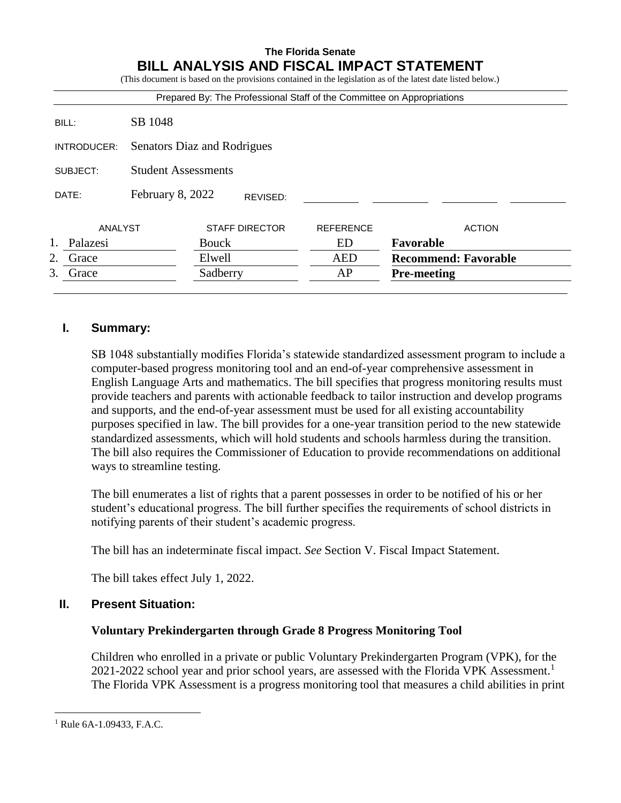#### **The Florida Senate BILL ANALYSIS AND FISCAL IMPACT STATEMENT** (This document is based on the provisions contained in the legislation as of the latest date listed below.)

|                |                             | Prepared By: The Professional Staff of the Committee on Appropriations |                  |                             |  |
|----------------|-----------------------------|------------------------------------------------------------------------|------------------|-----------------------------|--|
| BILL:          | SB 1048                     |                                                                        |                  |                             |  |
| INTRODUCER:    | Senators Diaz and Rodrigues |                                                                        |                  |                             |  |
| SUBJECT:       | <b>Student Assessments</b>  |                                                                        |                  |                             |  |
| DATE:          | February 8, 2022            | REVISED:                                                               |                  |                             |  |
| ANALYST        |                             | <b>STAFF DIRECTOR</b>                                                  | <b>REFERENCE</b> | <b>ACTION</b>               |  |
| 1.<br>Palazesi |                             | <b>Bouck</b>                                                           | ED               | Favorable                   |  |
| 2.<br>Grace    |                             | Elwell                                                                 | <b>AED</b>       | <b>Recommend: Favorable</b> |  |
| 3.<br>Grace    |                             | Sadberry                                                               | AP               | <b>Pre-meeting</b>          |  |

# **I. Summary:**

SB 1048 substantially modifies Florida's statewide standardized assessment program to include a computer-based progress monitoring tool and an end-of-year comprehensive assessment in English Language Arts and mathematics. The bill specifies that progress monitoring results must provide teachers and parents with actionable feedback to tailor instruction and develop programs and supports, and the end-of-year assessment must be used for all existing accountability purposes specified in law. The bill provides for a one-year transition period to the new statewide standardized assessments, which will hold students and schools harmless during the transition. The bill also requires the Commissioner of Education to provide recommendations on additional ways to streamline testing.

The bill enumerates a list of rights that a parent possesses in order to be notified of his or her student's educational progress. The bill further specifies the requirements of school districts in notifying parents of their student's academic progress.

The bill has an indeterminate fiscal impact. *See* Section V. Fiscal Impact Statement.

The bill takes effect July 1, 2022.

# **II. Present Situation:**

# **Voluntary Prekindergarten through Grade 8 Progress Monitoring Tool**

Children who enrolled in a private or public Voluntary Prekindergarten Program (VPK), for the 2021-2022 school year and prior school years, are assessed with the Florida VPK Assessment.<sup>1</sup> The Florida VPK Assessment is a progress monitoring tool that measures a child abilities in print

 $\overline{a}$ 

<sup>1</sup> Rule 6A-1.09433, F.A.C.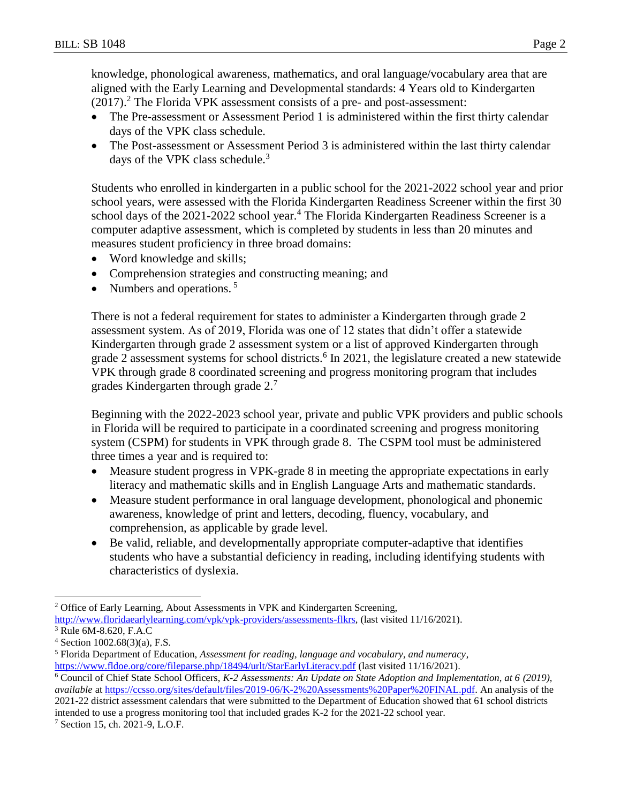knowledge, phonological awareness, mathematics, and oral language/vocabulary area that are aligned with the Early Learning and Developmental standards: 4 Years old to Kindergarten (2017).<sup>2</sup> The Florida VPK assessment consists of a pre- and post-assessment:

- The Pre-assessment or Assessment Period 1 is administered within the first thirty calendar days of the VPK class schedule.
- The Post-assessment or Assessment Period 3 is administered within the last thirty calendar days of the VPK class schedule. $3$

Students who enrolled in kindergarten in a public school for the 2021-2022 school year and prior school years, were assessed with the Florida Kindergarten Readiness Screener within the first 30 school days of the 2021-2022 school year.<sup>4</sup> The Florida Kindergarten Readiness Screener is a computer adaptive assessment, which is completed by students in less than 20 minutes and measures student proficiency in three broad domains:

- Word knowledge and skills;
- Comprehension strategies and constructing meaning; and
- Numbers and operations.  $5$

There is not a federal requirement for states to administer a Kindergarten through grade 2 assessment system. As of 2019, Florida was one of 12 states that didn't offer a statewide Kindergarten through grade 2 assessment system or a list of approved Kindergarten through grade 2 assessment systems for school districts.<sup>6</sup> In 2021, the legislature created a new statewide VPK through grade 8 coordinated screening and progress monitoring program that includes grades Kindergarten through grade 2.<sup>7</sup>

Beginning with the 2022-2023 school year, private and public VPK providers and public schools in Florida will be required to participate in a coordinated screening and progress monitoring system (CSPM) for students in VPK through grade 8. The CSPM tool must be administered three times a year and is required to:

- Measure student progress in VPK-grade 8 in meeting the appropriate expectations in early literacy and mathematic skills and in English Language Arts and mathematic standards.
- Measure student performance in oral language development, phonological and phonemic awareness, knowledge of print and letters, decoding, fluency, vocabulary, and comprehension, as applicable by grade level.
- Be valid, reliable, and developmentally appropriate computer-adaptive that identifies students who have a substantial deficiency in reading, including identifying students with characteristics of dyslexia.

 $\overline{a}$ 

<sup>7</sup> Section 15, ch. 2021-9, L.O.F.

<sup>&</sup>lt;sup>2</sup> Office of Early Learning, About Assessments in VPK and Kindergarten Screening,

[http://www.floridaearlylearning.com/vpk/vpk-providers/assessments-flkrs,](http://www.floridaearlylearning.com/vpk/vpk-providers/assessments-flkrs) (last visited 11/16/2021).

<sup>3</sup> Rule 6M-8.620, F.A.C

 $4$  Section 1002.68(3)(a), F.S.

<sup>5</sup> Florida Department of Education, *Assessment for reading, language and vocabulary, and numeracy*, <https://www.fldoe.org/core/fileparse.php/18494/urlt/StarEarlyLiteracy.pdf> (last visited 11/16/2021).

<sup>6</sup> Council of Chief State School Officers, *K-2 Assessments: An Update on State Adoption and Implementation, at 6 (2019), available* at [https://ccsso.org/sites/default/files/2019-06/K-2%20Assessments%20Paper%20FINAL.pdf.](https://ccsso.org/sites/default/files/2019-06/K-2%20Assessments%20Paper%20FINAL.pdf) An analysis of the 2021-22 district assessment calendars that were submitted to the Department of Education showed that 61 school districts intended to use a progress monitoring tool that included grades K-2 for the 2021-22 school year.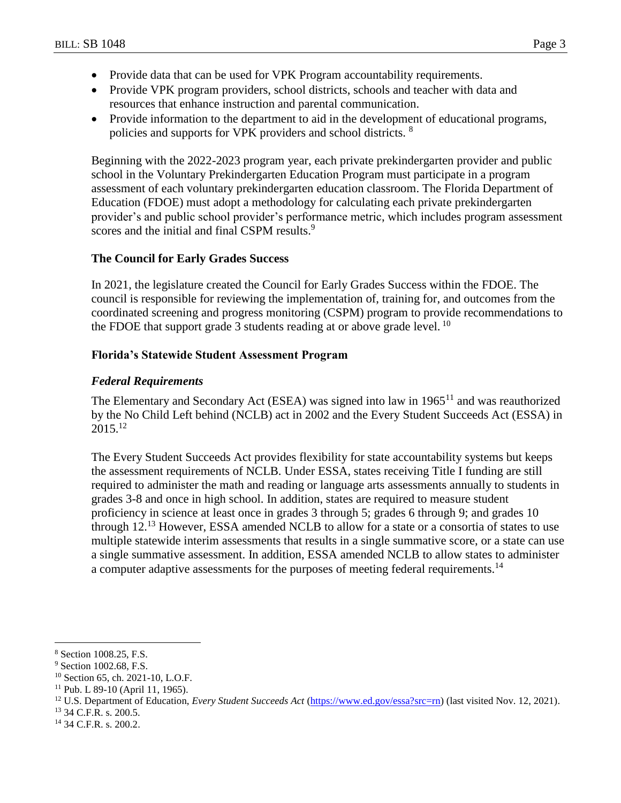- Provide data that can be used for VPK Program accountability requirements.
- Provide VPK program providers, school districts, schools and teacher with data and resources that enhance instruction and parental communication.
- Provide information to the department to aid in the development of educational programs, policies and supports for VPK providers and school districts. <sup>8</sup>

Beginning with the 2022-2023 program year, each private prekindergarten provider and public school in the Voluntary Prekindergarten Education Program must participate in a program assessment of each voluntary prekindergarten education classroom. The Florida Department of Education (FDOE) must adopt a methodology for calculating each private prekindergarten provider's and public school provider's performance metric, which includes program assessment scores and the initial and final CSPM results.<sup>9</sup>

## **The Council for Early Grades Success**

In 2021, the legislature created the Council for Early Grades Success within the FDOE. The council is responsible for reviewing the implementation of, training for, and outcomes from the coordinated screening and progress monitoring (CSPM) program to provide recommendations to the FDOE that support grade 3 students reading at or above grade level.  $^{10}$ 

## **Florida's Statewide Student Assessment Program**

## *Federal Requirements*

The Elementary and Secondary Act (ESEA) was signed into law in  $1965<sup>11</sup>$  and was reauthorized by the No Child Left behind (NCLB) act in 2002 and the Every Student Succeeds Act (ESSA) in  $2015^{12}$ 

The Every Student Succeeds Act provides flexibility for state accountability systems but keeps the assessment requirements of NCLB. Under ESSA, states receiving Title I funding are still required to administer the math and reading or language arts assessments annually to students in grades 3-8 and once in high school. In addition, states are required to measure student proficiency in science at least once in grades 3 through 5; grades 6 through 9; and grades 10 through  $12<sup>13</sup>$  However, ESSA amended NCLB to allow for a state or a consortia of states to use multiple statewide interim assessments that results in a single summative score, or a state can use a single summative assessment. In addition, ESSA amended NCLB to allow states to administer a computer adaptive assessments for the purposes of meeting federal requirements.<sup>14</sup>

<sup>13</sup> 34 C.F.R. s. 200.5.

 $\overline{a}$ <sup>8</sup> Section 1008.25, F.S.

<sup>&</sup>lt;sup>9</sup> Section 1002.68, F.S.

<sup>10</sup> Section 65, ch. 2021-10, L.O.F.

<sup>11</sup> Pub. L 89-10 (April 11, 1965).

<sup>&</sup>lt;sup>12</sup> U.S. Department of Education, *Every Student Succeeds Act* [\(https://www.ed.gov/essa?src=rn\)](https://www.ed.gov/essa?src=rn) (last visited Nov. 12, 2021).

<sup>14</sup> 34 C.F.R. s. 200.2.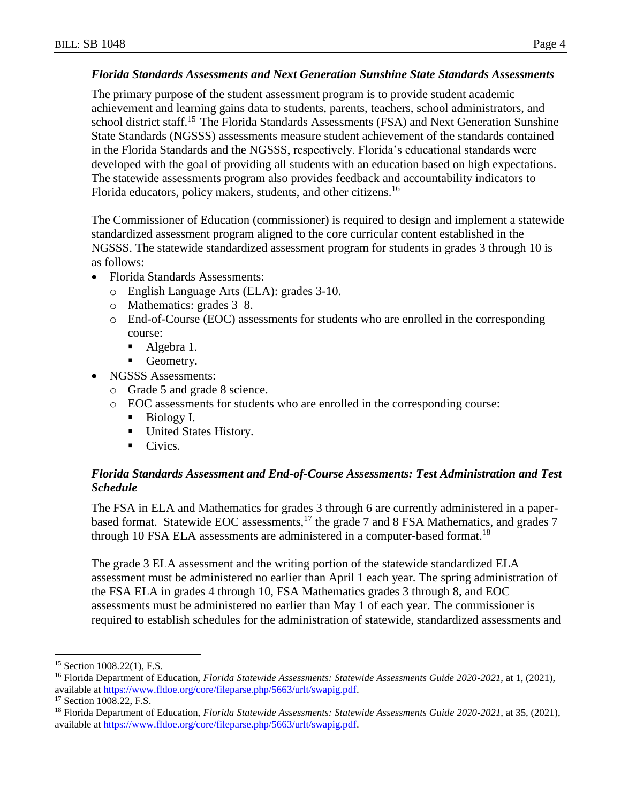## *Florida Standards Assessments and Next Generation Sunshine State Standards Assessments*

The primary purpose of the student assessment program is to provide student academic achievement and learning gains data to students, parents, teachers, school administrators, and school district staff.<sup>15</sup> The Florida Standards Assessments (FSA) and Next Generation Sunshine State Standards (NGSSS) assessments measure student achievement of the standards contained in the Florida Standards and the NGSSS, respectively. Florida's educational standards were developed with the goal of providing all students with an education based on high expectations. The statewide assessments program also provides feedback and accountability indicators to Florida educators, policy makers, students, and other citizens.<sup>16</sup>

The Commissioner of Education (commissioner) is required to design and implement a statewide standardized assessment program aligned to the core curricular content established in the NGSSS. The statewide standardized assessment program for students in grades 3 through 10 is as follows:

- Florida Standards Assessments:
	- o English Language Arts (ELA): grades 3-10.
	- o Mathematics: grades 3–8.
	- o End-of-Course (EOC) assessments for students who are enrolled in the corresponding course:
		- Algebra 1.
		- Geometry.
- NGSSS Assessments:
	- o Grade 5 and grade 8 science.
	- o EOC assessments for students who are enrolled in the corresponding course:
		- Biology I.
		- United States History.
		- $\blacksquare$  Civics.

## *Florida Standards Assessment and End-of-Course Assessments: Test Administration and Test Schedule*

The FSA in ELA and Mathematics for grades 3 through 6 are currently administered in a paperbased format. Statewide EOC assessments,<sup>17</sup> the grade 7 and 8 FSA Mathematics, and grades 7 through 10 FSA ELA assessments are administered in a computer-based format.<sup>18</sup>

The grade 3 ELA assessment and the writing portion of the statewide standardized ELA assessment must be administered no earlier than April 1 each year. The spring administration of the FSA ELA in grades 4 through 10, FSA Mathematics grades 3 through 8, and EOC assessments must be administered no earlier than May 1 of each year. The commissioner is required to establish schedules for the administration of statewide, standardized assessments and

 $\overline{a}$ 

<sup>&</sup>lt;sup>15</sup> Section 1008.22(1), F.S.

<sup>16</sup> Florida Department of Education, *Florida Statewide Assessments: Statewide Assessments Guide 2020-2021*, at 1, (2021), available at [https://www.fldoe.org/core/fileparse.php/5663/urlt/swapig.pdf.](https://www.fldoe.org/core/fileparse.php/5663/urlt/swapig.pdf)

<sup>&</sup>lt;sup>17</sup> Section 1008.22, F.S.

<sup>18</sup> Florida Department of Education, *Florida Statewide Assessments: Statewide Assessments Guide 2020-2021*, at 35, (2021), available at [https://www.fldoe.org/core/fileparse.php/5663/urlt/swapig.pdf.](https://www.fldoe.org/core/fileparse.php/5663/urlt/swapig.pdf)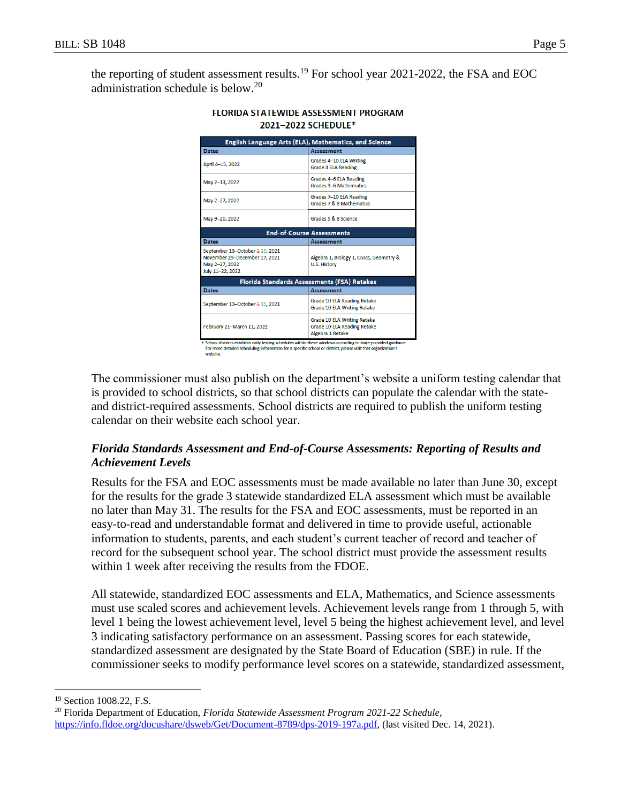the reporting of student assessment results.<sup>19</sup> For school year 2021-2022, the FSA and EOC administration schedule is below.<sup>20</sup>

| English Language Arts (ELA), Mathematics, and Science                                                  |                                                                                |  |  |  |  |  |
|--------------------------------------------------------------------------------------------------------|--------------------------------------------------------------------------------|--|--|--|--|--|
| <b>Dates</b>                                                                                           | Assessment                                                                     |  |  |  |  |  |
| April 4-15, 2022                                                                                       | Grades 4-10 ELA Writing<br><b>Grade 3 ELA Reading</b>                          |  |  |  |  |  |
| May 2-13, 2022                                                                                         | Grades 4-6 ELA Reading<br>Grades 3-6 Mathematics                               |  |  |  |  |  |
| May 2-27, 2022                                                                                         | Grades 7-10 ELA Reading<br>Grades 7 & 8 Mathematics                            |  |  |  |  |  |
| May 9-20, 2022                                                                                         | Grades 5 & 8 Science                                                           |  |  |  |  |  |
| <b>End-of-Course Assessments</b>                                                                       |                                                                                |  |  |  |  |  |
| <b>Dates</b>                                                                                           | Assessment                                                                     |  |  |  |  |  |
| September 13-October 4 15, 2021<br>November 29-December 17, 2021<br>May 2-27, 2022<br>July 11-22, 2022 | Algebra 1, Biology 1, Civics, Geometry &<br>U.S. History                       |  |  |  |  |  |
| Florida Standards Assessments (FSA) Retakes                                                            |                                                                                |  |  |  |  |  |
| <b>Dates</b>                                                                                           | Assessment                                                                     |  |  |  |  |  |
| September 13-October 4 15, 2021                                                                        | Grade 10 ELA Reading Retake<br>Grade 10 ELA Writing Retake                     |  |  |  |  |  |
| February 21-March 11, 2022                                                                             | Grade 10 ELA Writing Retake<br>Grade 10 ELA Reading Retake<br>Algebra 1 Retake |  |  |  |  |  |

#### **FLORIDA STATEWIDE ASSESSMENT PROGRAM** 2021-2022 SCHEDULE\*

School districts establish daily testing schedules within these windows according to state-provided guid<br>For more detailed scheduling information for a specific school or district, please visit that organization's

The commissioner must also publish on the department's website a uniform testing calendar that is provided to school districts, so that school districts can populate the calendar with the stateand district-required assessments. School districts are required to publish the uniform testing calendar on their website each school year.

# *Florida Standards Assessment and End-of-Course Assessments: Reporting of Results and Achievement Levels*

Results for the FSA and EOC assessments must be made available no later than June 30, except for the results for the grade 3 statewide standardized ELA assessment which must be available no later than May 31. The results for the FSA and EOC assessments, must be reported in an easy-to-read and understandable format and delivered in time to provide useful, actionable information to students, parents, and each student's current teacher of record and teacher of record for the subsequent school year. The school district must provide the assessment results within 1 week after receiving the results from the FDOE.

All statewide, standardized EOC assessments and ELA, Mathematics, and Science assessments must use scaled scores and achievement levels. Achievement levels range from 1 through 5, with level 1 being the lowest achievement level, level 5 being the highest achievement level, and level 3 indicating satisfactory performance on an assessment. Passing scores for each statewide, standardized assessment are designated by the State Board of Education (SBE) in rule. If the commissioner seeks to modify performance level scores on a statewide, standardized assessment,

 $\overline{a}$ 

<sup>&</sup>lt;sup>19</sup> Section 1008.22, F.S.

<sup>20</sup> Florida Department of Education, *Florida Statewide Assessment Program 2021-22 Schedule*, [https://info.fldoe.org/docushare/dsweb/Get/Document-8789/dps-2019-197a.pdf,](https://info.fldoe.org/docushare/dsweb/Get/Document-8789/dps-2019-197a.pdf) (last visited Dec. 14, 2021).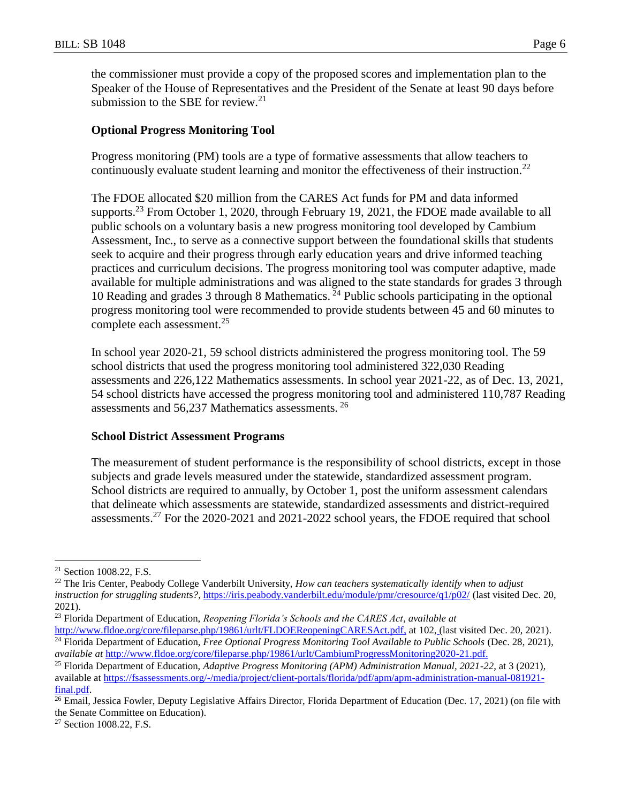the commissioner must provide a copy of the proposed scores and implementation plan to the Speaker of the House of Representatives and the President of the Senate at least 90 days before submission to the SBE for review. $21$ 

## **Optional Progress Monitoring Tool**

Progress monitoring (PM) tools are a type of formative assessments that allow teachers to continuously evaluate student learning and monitor the effectiveness of their instruction.<sup>22</sup>

The FDOE allocated \$20 million from the CARES Act funds for PM and data informed supports.<sup>23</sup> From October 1, 2020, through February 19, 2021, the FDOE made available to all public schools on a voluntary basis a new progress monitoring tool developed by Cambium Assessment, Inc., to serve as a connective support between the foundational skills that students seek to acquire and their progress through early education years and drive informed teaching practices and curriculum decisions. The progress monitoring tool was computer adaptive, made available for multiple administrations and was aligned to the state standards for grades 3 through 10 Reading and grades 3 through 8 Mathematics.  $^{24}$  Public schools participating in the optional progress monitoring tool were recommended to provide students between 45 and 60 minutes to complete each assessment.<sup>25</sup>

In school year 2020-21, 59 school districts administered the progress monitoring tool. The 59 school districts that used the progress monitoring tool administered 322,030 Reading assessments and 226,122 Mathematics assessments. In school year 2021-22, as of Dec. 13, 2021, 54 school districts have accessed the progress monitoring tool and administered 110,787 Reading assessments and 56,237 Mathematics assessments. <sup>26</sup>

## **School District Assessment Programs**

The measurement of student performance is the responsibility of school districts, except in those subjects and grade levels measured under the statewide, standardized assessment program. School districts are required to annually, by October 1, post the uniform assessment calendars that delineate which assessments are statewide, standardized assessments and district-required assessments.<sup>27</sup> For the 2020-2021 and 2021-2022 school years, the FDOE required that school

 $\overline{a}$ <sup>21</sup> Section 1008.22, F.S.

<sup>22</sup> The Iris Center, Peabody College Vanderbilt University, *How can teachers systematically identify when to adjust instruction for struggling students?*, <https://iris.peabody.vanderbilt.edu/module/pmr/cresource/q1/p02/> (last visited Dec. 20, 2021).

<sup>23</sup> Florida Department of Education, *Reopening Florida's Schools and the CARES Act*, *available at* [http://www.fldoe.org/core/fileparse.php/19861/urlt/FLDOEReopeningCARESAct.pdf,](http://www.fldoe.org/core/fileparse.php/19861/urlt/FLDOEReopeningCARESAct.pdf) at 10[2,](http://www.fldoe.org/core/fileparse.php/19861/urlt/FLDOEReopeningCARESAct.pdf) (last visited Dec. 20, 2021).

<sup>&</sup>lt;sup>24</sup> Florida Department of Education, *Free Optional Progress Monitoring Tool Available to Public Schools* (Dec. 28, 2021), *available at* [http://www.fldoe.org/core/fileparse.php/19861/urlt/CambiumProgressMonitoring2020-21.pdf.](http://www.fldoe.org/core/fileparse.php/19861/urlt/CambiumProgressMonitoring2020-21.pdf)

<sup>25</sup> Florida Department of Education, *Adaptive Progress Monitoring (APM) Administration Manual, 2021-22*, at 3 (2021), available at [https://fsassessments.org/-/media/project/client-portals/florida/pdf/apm/apm-administration-manual-081921](https://fsassessments.org/-/media/project/client-portals/florida/pdf/apm/apm-administration-manual-081921-final.pdf) [final.pdf.](https://fsassessments.org/-/media/project/client-portals/florida/pdf/apm/apm-administration-manual-081921-final.pdf)

<sup>&</sup>lt;sup>26</sup> Email, Jessica Fowler, Deputy Legislative Affairs Director, Florida Department of Education (Dec. 17, 2021) (on file with the Senate Committee on Education).

<sup>&</sup>lt;sup>27</sup> Section 1008.22, F.S.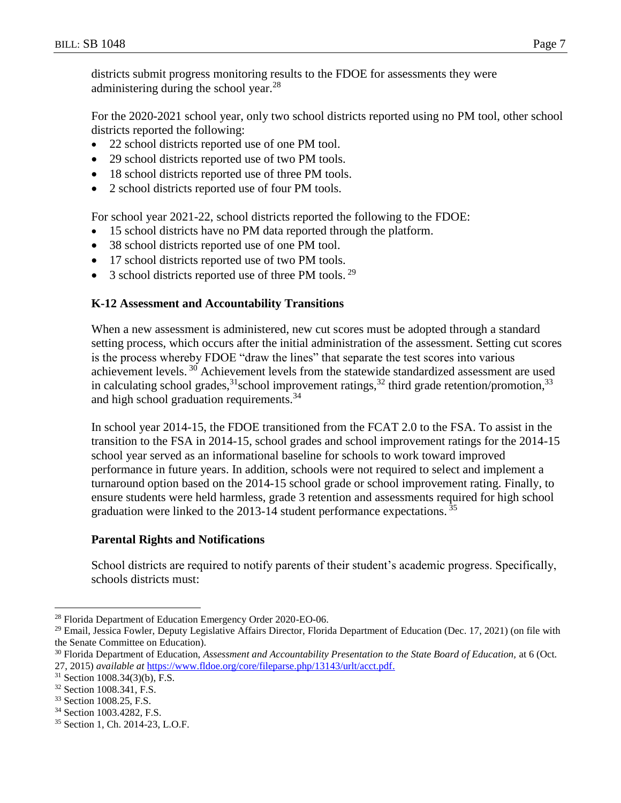districts submit progress monitoring results to the FDOE for assessments they were administering during the school year.<sup>28</sup>

For the 2020-2021 school year, only two school districts reported using no PM tool, other school districts reported the following:

- 22 school districts reported use of one PM tool.
- 29 school districts reported use of two PM tools.
- 18 school districts reported use of three PM tools.
- 2 school districts reported use of four PM tools.

For school year 2021-22, school districts reported the following to the FDOE:

- 15 school districts have no PM data reported through the platform.
- 38 school districts reported use of one PM tool.
- 17 school districts reported use of two PM tools.
- $\bullet$  3 school districts reported use of three PM tools.<sup>29</sup>

# **K-12 Assessment and Accountability Transitions**

When a new assessment is administered, new cut scores must be adopted through a standard setting process, which occurs after the initial administration of the assessment. Setting cut scores is the process whereby FDOE "draw the lines" that separate the test scores into various achievement levels.<sup>30</sup> Achievement levels from the statewide standardized assessment are used in calculating school grades,<sup>31</sup>school improvement ratings,<sup>32</sup> third grade retention/promotion,<sup>33</sup> and high school graduation requirements.<sup>34</sup>

In school year 2014-15, the FDOE transitioned from the FCAT 2.0 to the FSA. To assist in the transition to the FSA in 2014-15, school grades and school improvement ratings for the 2014-15 school year served as an informational baseline for schools to work toward improved performance in future years. In addition, schools were not required to select and implement a turnaround option based on the 2014-15 school grade or school improvement rating. Finally, to ensure students were held harmless, grade 3 retention and assessments required for high school graduation were linked to the 2013-14 student performance expectations.  $35$ 

# **Parental Rights and Notifications**

School districts are required to notify parents of their student's academic progress. Specifically, schools districts must:

 $\overline{a}$ 

<sup>33</sup> Section 1008.25, F.S.

<sup>&</sup>lt;sup>28</sup> Florida Department of Education Emergency Order 2020-EO-06.

 $29$  Email, Jessica Fowler, Deputy Legislative Affairs Director, Florida Department of Education (Dec. 17, 2021) (on file with the Senate Committee on Education).

<sup>30</sup> Florida Department of Education, *Assessment and Accountability Presentation to the State Board of Education,* at 6 (Oct. 27, 2015) *available at* [https://www.fldoe.org/core/fileparse.php/13143/urlt/acct.pdf.](https://www.fldoe.org/core/fileparse.php/13143/urlt/acct.pdf)

<sup>31</sup> Section 1008.34(3)(b), F.S.

<sup>32</sup> Section 1008.341, F.S.

<sup>34</sup> Section 1003.4282, F.S.

<sup>35</sup> Section 1, Ch. 2014-23, L.O.F.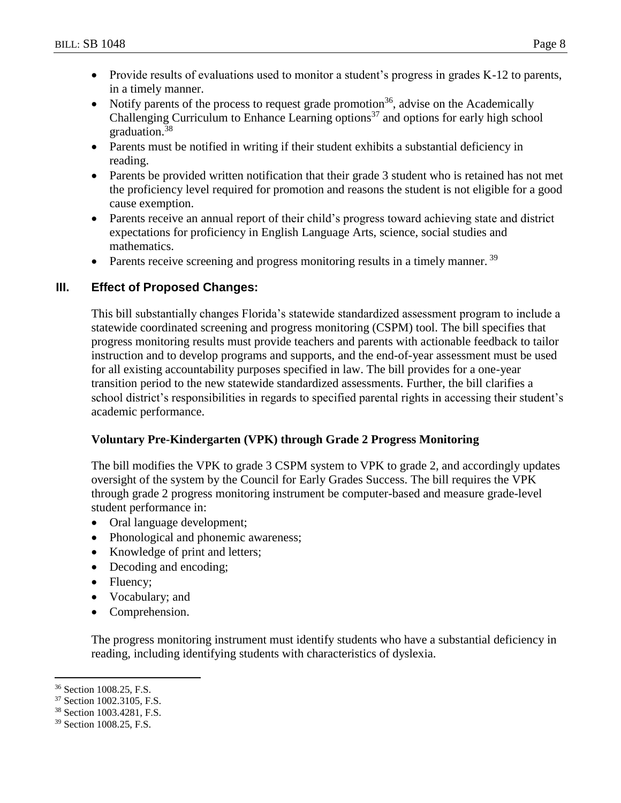- Provide results of evaluations used to monitor a student's progress in grades K-12 to parents, in a timely manner.
- Notify parents of the process to request grade promotion<sup>36</sup>, advise on the Academically Challenging Curriculum to Enhance Learning options<sup>37</sup> and options for early high school graduation.<sup>38</sup>
- Parents must be notified in writing if their student exhibits a substantial deficiency in reading.
- Parents be provided written notification that their grade 3 student who is retained has not met the proficiency level required for promotion and reasons the student is not eligible for a good cause exemption.
- Parents receive an annual report of their child's progress toward achieving state and district expectations for proficiency in English Language Arts, science, social studies and mathematics.
- $\bullet$  Parents receive screening and progress monitoring results in a timely manner.  $39$

# **III. Effect of Proposed Changes:**

This bill substantially changes Florida's statewide standardized assessment program to include a statewide coordinated screening and progress monitoring (CSPM) tool. The bill specifies that progress monitoring results must provide teachers and parents with actionable feedback to tailor instruction and to develop programs and supports, and the end-of-year assessment must be used for all existing accountability purposes specified in law. The bill provides for a one-year transition period to the new statewide standardized assessments. Further, the bill clarifies a school district's responsibilities in regards to specified parental rights in accessing their student's academic performance.

# **Voluntary Pre-Kindergarten (VPK) through Grade 2 Progress Monitoring**

The bill modifies the VPK to grade 3 CSPM system to VPK to grade 2, and accordingly updates oversight of the system by the Council for Early Grades Success. The bill requires the VPK through grade 2 progress monitoring instrument be computer-based and measure grade-level student performance in:

- Oral language development;
- Phonological and phonemic awareness;
- Knowledge of print and letters;
- Decoding and encoding;
- Fluency;
- Vocabulary; and
- Comprehension.

The progress monitoring instrument must identify students who have a substantial deficiency in reading, including identifying students with characteristics of dyslexia.

 $\overline{a}$ <sup>36</sup> Section 1008.25, F.S.

<sup>37</sup> Section 1002.3105, F.S.

<sup>38</sup> Section 1003.4281, F.S.

<sup>39</sup> Section 1008.25, F.S.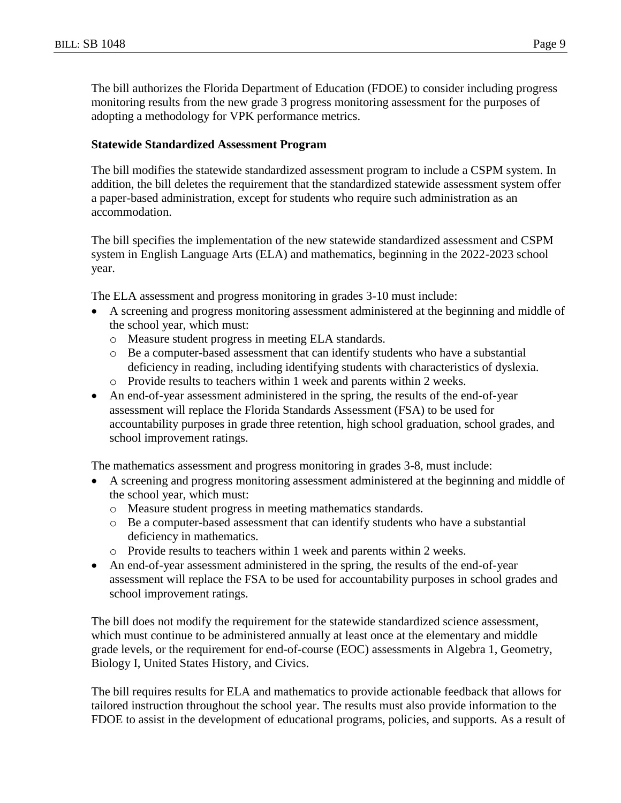The bill authorizes the Florida Department of Education (FDOE) to consider including progress monitoring results from the new grade 3 progress monitoring assessment for the purposes of adopting a methodology for VPK performance metrics.

### **Statewide Standardized Assessment Program**

The bill modifies the statewide standardized assessment program to include a CSPM system. In addition, the bill deletes the requirement that the standardized statewide assessment system offer a paper-based administration, except for students who require such administration as an accommodation.

The bill specifies the implementation of the new statewide standardized assessment and CSPM system in English Language Arts (ELA) and mathematics, beginning in the 2022-2023 school year.

The ELA assessment and progress monitoring in grades 3-10 must include:

- A screening and progress monitoring assessment administered at the beginning and middle of the school year, which must:
	- o Measure student progress in meeting ELA standards.
	- o Be a computer-based assessment that can identify students who have a substantial deficiency in reading, including identifying students with characteristics of dyslexia.
	- o Provide results to teachers within 1 week and parents within 2 weeks.
- An end-of-year assessment administered in the spring, the results of the end-of-year assessment will replace the Florida Standards Assessment (FSA) to be used for accountability purposes in grade three retention, high school graduation, school grades, and school improvement ratings.

The mathematics assessment and progress monitoring in grades 3-8, must include:

- A screening and progress monitoring assessment administered at the beginning and middle of the school year, which must:
	- o Measure student progress in meeting mathematics standards.
	- o Be a computer-based assessment that can identify students who have a substantial deficiency in mathematics.
	- o Provide results to teachers within 1 week and parents within 2 weeks.
- An end-of-year assessment administered in the spring, the results of the end-of-year assessment will replace the FSA to be used for accountability purposes in school grades and school improvement ratings.

The bill does not modify the requirement for the statewide standardized science assessment, which must continue to be administered annually at least once at the elementary and middle grade levels, or the requirement for end-of-course (EOC) assessments in Algebra 1, Geometry, Biology I, United States History, and Civics.

The bill requires results for ELA and mathematics to provide actionable feedback that allows for tailored instruction throughout the school year. The results must also provide information to the FDOE to assist in the development of educational programs, policies, and supports. As a result of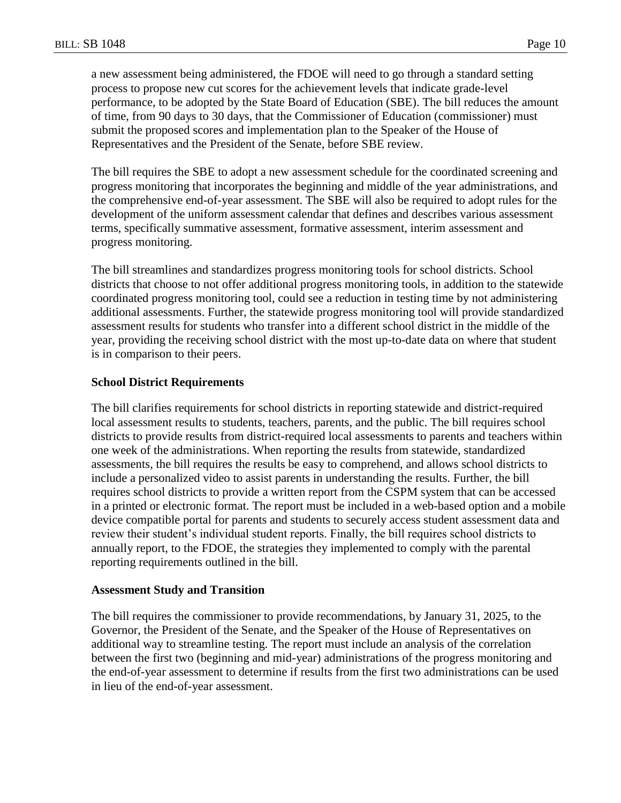a new assessment being administered, the FDOE will need to go through a standard setting process to propose new cut scores for the achievement levels that indicate grade-level performance, to be adopted by the State Board of Education (SBE). The bill reduces the amount of time, from 90 days to 30 days, that the Commissioner of Education (commissioner) must submit the proposed scores and implementation plan to the Speaker of the House of Representatives and the President of the Senate, before SBE review.

The bill requires the SBE to adopt a new assessment schedule for the coordinated screening and progress monitoring that incorporates the beginning and middle of the year administrations, and the comprehensive end-of-year assessment. The SBE will also be required to adopt rules for the development of the uniform assessment calendar that defines and describes various assessment terms, specifically summative assessment, formative assessment, interim assessment and progress monitoring.

The bill streamlines and standardizes progress monitoring tools for school districts. School districts that choose to not offer additional progress monitoring tools, in addition to the statewide coordinated progress monitoring tool, could see a reduction in testing time by not administering additional assessments. Further, the statewide progress monitoring tool will provide standardized assessment results for students who transfer into a different school district in the middle of the year, providing the receiving school district with the most up-to-date data on where that student is in comparison to their peers.

### **School District Requirements**

The bill clarifies requirements for school districts in reporting statewide and district-required local assessment results to students, teachers, parents, and the public. The bill requires school districts to provide results from district-required local assessments to parents and teachers within one week of the administrations. When reporting the results from statewide, standardized assessments, the bill requires the results be easy to comprehend, and allows school districts to include a personalized video to assist parents in understanding the results. Further, the bill requires school districts to provide a written report from the CSPM system that can be accessed in a printed or electronic format. The report must be included in a web-based option and a mobile device compatible portal for parents and students to securely access student assessment data and review their student's individual student reports. Finally, the bill requires school districts to annually report, to the FDOE, the strategies they implemented to comply with the parental reporting requirements outlined in the bill.

### **Assessment Study and Transition**

The bill requires the commissioner to provide recommendations, by January 31, 2025, to the Governor, the President of the Senate, and the Speaker of the House of Representatives on additional way to streamline testing. The report must include an analysis of the correlation between the first two (beginning and mid-year) administrations of the progress monitoring and the end-of-year assessment to determine if results from the first two administrations can be used in lieu of the end-of-year assessment.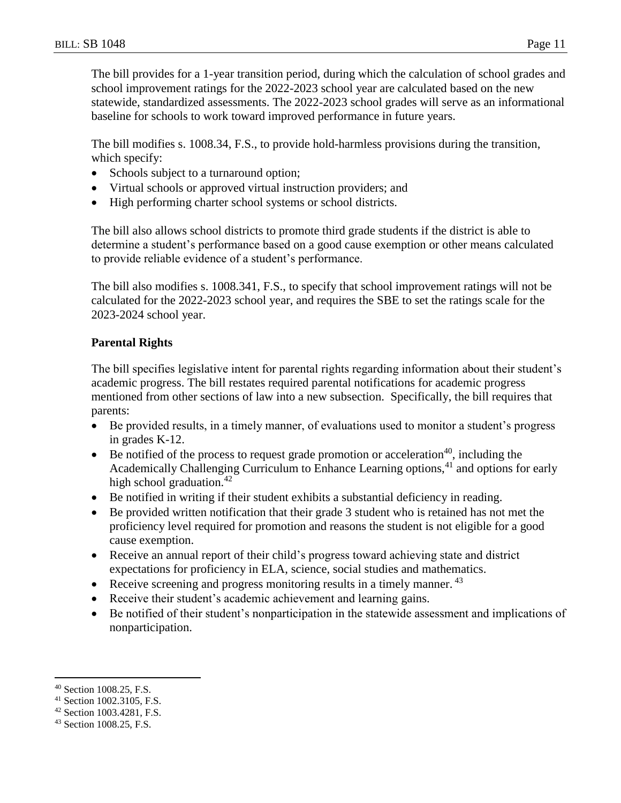The bill provides for a 1-year transition period, during which the calculation of school grades and school improvement ratings for the 2022-2023 school year are calculated based on the new statewide, standardized assessments. The 2022-2023 school grades will serve as an informational baseline for schools to work toward improved performance in future years.

The bill modifies s. 1008.34, F.S., to provide hold-harmless provisions during the transition, which specify:

- Schools subject to a turnaround option;
- Virtual schools or approved virtual instruction providers; and
- High performing charter school systems or school districts.

The bill also allows school districts to promote third grade students if the district is able to determine a student's performance based on a good cause exemption or other means calculated to provide reliable evidence of a student's performance.

The bill also modifies s. 1008.341, F.S., to specify that school improvement ratings will not be calculated for the 2022-2023 school year, and requires the SBE to set the ratings scale for the 2023-2024 school year.

## **Parental Rights**

The bill specifies legislative intent for parental rights regarding information about their student's academic progress. The bill restates required parental notifications for academic progress mentioned from other sections of law into a new subsection. Specifically, the bill requires that parents:

- Be provided results, in a timely manner, of evaluations used to monitor a student's progress in grades K-12.
- Be notified of the process to request grade promotion or acceleration<sup>40</sup>, including the Academically Challenging Curriculum to Enhance Learning options,<sup>41</sup> and options for early high school graduation. $42$
- Be notified in writing if their student exhibits a substantial deficiency in reading.
- Be provided written notification that their grade 3 student who is retained has not met the proficiency level required for promotion and reasons the student is not eligible for a good cause exemption.
- Receive an annual report of their child's progress toward achieving state and district expectations for proficiency in ELA, science, social studies and mathematics.
- Receive screening and progress monitoring results in a timely manner.  $43$
- Receive their student's academic achievement and learning gains.
- Be notified of their student's nonparticipation in the statewide assessment and implications of nonparticipation.

 $\overline{a}$ <sup>40</sup> Section 1008.25, F.S.

<sup>41</sup> Section 1002.3105, F.S.

<sup>42</sup> Section 1003.4281, F.S.

<sup>43</sup> Section 1008.25, F.S.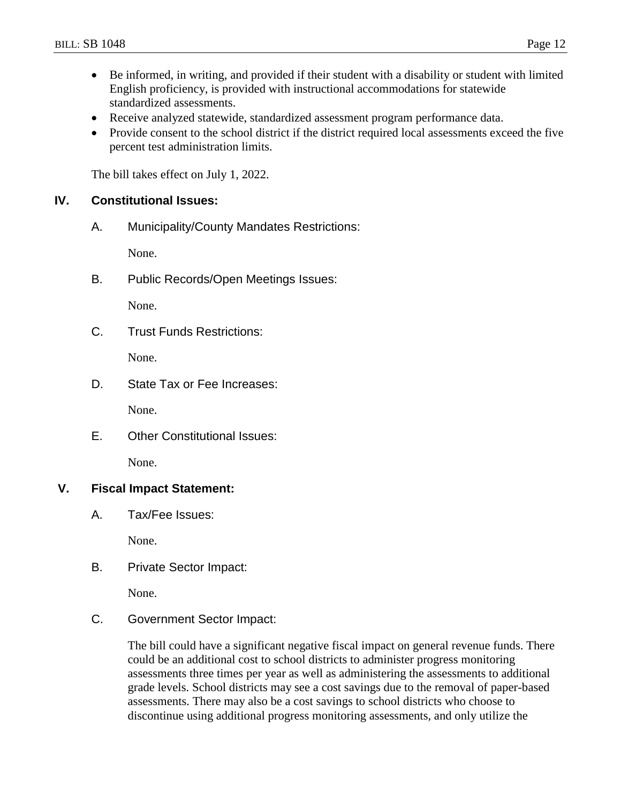- Be informed, in writing, and provided if their student with a disability or student with limited English proficiency, is provided with instructional accommodations for statewide standardized assessments.
- Receive analyzed statewide, standardized assessment program performance data.
- Provide consent to the school district if the district required local assessments exceed the five percent test administration limits.

The bill takes effect on July 1, 2022.

## **IV. Constitutional Issues:**

A. Municipality/County Mandates Restrictions:

None.

B. Public Records/Open Meetings Issues:

None.

C. Trust Funds Restrictions:

None.

D. State Tax or Fee Increases:

None.

E. Other Constitutional Issues:

None.

### **V. Fiscal Impact Statement:**

A. Tax/Fee Issues:

None.

B. Private Sector Impact:

None.

C. Government Sector Impact:

The bill could have a significant negative fiscal impact on general revenue funds. There could be an additional cost to school districts to administer progress monitoring assessments three times per year as well as administering the assessments to additional grade levels. School districts may see a cost savings due to the removal of paper-based assessments. There may also be a cost savings to school districts who choose to discontinue using additional progress monitoring assessments, and only utilize the